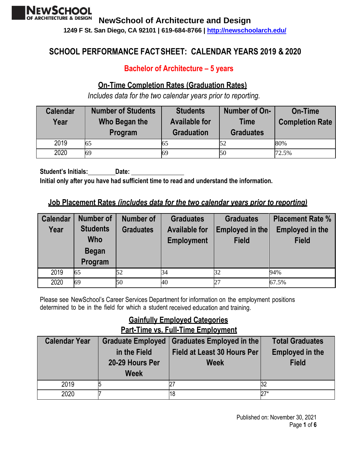

**1249 F St. San Diego, CA 92101 | 619-684-8766 |<http://newschoolarch.edu/>**

# **SCHOOL PERFORMANCE FACTSHEET: CALENDAR YEARS 2019 & 2020**

## **Bachelor of Architecture – 5 years**

### **On-Time Completion Rates (Graduation Rates)**

*Includes data for the two calendar years prior to reporting.*

| <b>Calendar</b><br>Year | <b>Number of Students</b><br>Who Began the<br>Program | <b>Students</b><br><b>Available for</b><br><b>Graduation</b> | Number of On-<br><b>Time</b><br><b>Graduates</b> | <b>On-Time</b><br><b>Completion Rate</b> |
|-------------------------|-------------------------------------------------------|--------------------------------------------------------------|--------------------------------------------------|------------------------------------------|
| 2019                    | 65                                                    | 65                                                           |                                                  | 80%                                      |
| 2020                    | 69                                                    | 69                                                           | 50                                               | 72.5%                                    |

**Student's Initials: Date: Initial only after you have had sufficient time to read and understand the information.**

### **Job Placement Rates** *(includes data for the two calendar years prior to reporting)*

| <b>Calendar</b><br>Year | <b>Number of</b><br><b>Students</b><br><b>Who</b><br><b>Began</b><br>Program | <b>Number of</b><br><b>Graduates</b> | <b>Graduates</b><br><b>Graduates</b><br>Employed in the<br><b>Available for</b><br><b>Employment</b><br><b>Field</b> |    | <b>Placement Rate %</b><br><b>Employed in the</b><br><b>Field</b> |
|-------------------------|------------------------------------------------------------------------------|--------------------------------------|----------------------------------------------------------------------------------------------------------------------|----|-------------------------------------------------------------------|
| 2019                    | 65                                                                           | 52                                   | 34                                                                                                                   | 32 | 94%                                                               |
| 2020                    | 69                                                                           | 50                                   | 40                                                                                                                   | 27 | 67.5%                                                             |

Please see NewSchool's Career Services Department for information on the employment positions determined to be in the field for which a student received education and training.

# **Gainfully Employed Categories Part-Time vs. Full-Time Employment**

| <b>Calendar Year</b> | <b>Graduate Employed</b><br>in the Field<br>20-29 Hours Per<br><b>Week</b> | <b>Graduates Employed in the</b><br><b>Field at Least 30 Hours Per</b><br><b>Week</b> | <b>Total Graduates</b><br><b>Employed in the</b><br><b>Field</b> |
|----------------------|----------------------------------------------------------------------------|---------------------------------------------------------------------------------------|------------------------------------------------------------------|
| 2019                 |                                                                            |                                                                                       | 32                                                               |
| 2020                 |                                                                            | 18                                                                                    | $27*$                                                            |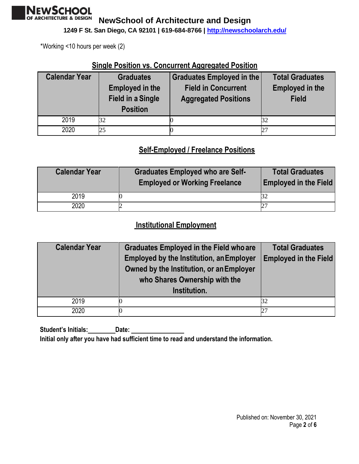

**1249 F St. San Diego, CA 92101 | 619-684-8766 |<http://newschoolarch.edu/>**

\*Working <10 hours per week (2)

### **Single Position vs. Concurrent Aggregated Position**

| <b>Calendar Year</b> | <b>Graduates</b><br><b>Employed in the</b><br><b>Field in a Single</b><br><b>Position</b> | Graduates Employed in the<br><b>Field in Concurrent</b><br><b>Aggregated Positions</b> | <b>Total Graduates</b><br><b>Employed in the</b><br><b>Field</b> |
|----------------------|-------------------------------------------------------------------------------------------|----------------------------------------------------------------------------------------|------------------------------------------------------------------|
| 2019                 |                                                                                           |                                                                                        | 32                                                               |
| 2020                 | 25                                                                                        |                                                                                        |                                                                  |

### **Self-Employed / Freelance Positions**

| <b>Calendar Year</b> | <b>Graduates Employed who are Self-</b><br><b>Employed or Working Freelance</b> | <b>Total Graduates</b><br><b>Employed in the Field</b> |
|----------------------|---------------------------------------------------------------------------------|--------------------------------------------------------|
| 2019                 |                                                                                 |                                                        |
| 2020                 |                                                                                 | $2^{\prime}$                                           |

### **Institutional Employment**

| <b>Calendar Year</b> | <b>Graduates Employed in the Field who are</b>                                              | <b>Total Graduates</b>       |
|----------------------|---------------------------------------------------------------------------------------------|------------------------------|
|                      | <b>Employed by the Institution, an Employer</b><br>Owned by the Institution, or an Employer | <b>Employed in the Field</b> |
|                      | who Shares Ownership with the                                                               |                              |
|                      | Institution.                                                                                |                              |
| 2019                 |                                                                                             | 32                           |
| 2020                 |                                                                                             | 27                           |

**Student's Initials: Date: Initial only after you have had sufficient time to read and understand the information.**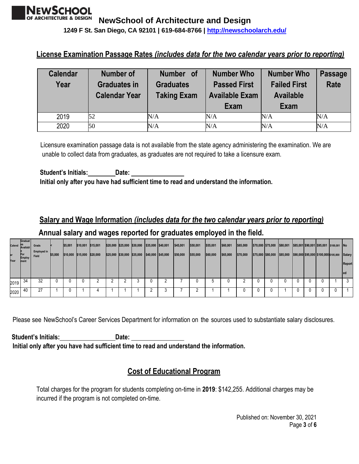**1249 F St. San Diego, CA 92101 | 619-684-8766 |<http://newschoolarch.edu/>**

### **License Examination Passage Rates** *(includes data for the two calendar years prior to reporting)*

| <b>Calendar</b><br>Year | <b>Number of</b><br><b>Graduates in</b><br><b>Calendar Year</b> | Number of<br><b>Graduates</b><br><b>Taking Exam</b> | <b>Number Who</b><br><b>Passed First</b><br><b>Available Exam</b><br><b>Exam</b> | <b>Number Who</b><br><b>Failed First</b><br><b>Available</b><br><b>Exam</b> | <b>Passage</b><br>Rate |
|-------------------------|-----------------------------------------------------------------|-----------------------------------------------------|----------------------------------------------------------------------------------|-----------------------------------------------------------------------------|------------------------|
| 2019                    | 52                                                              | N/A                                                 | N/A                                                                              | N/A                                                                         | N/A                    |
| 2020                    | 50                                                              | N/A                                                 | N/A                                                                              | N/A                                                                         | N/A                    |

Licensure examination passage data is not available from the state agency administering the examination. We are unable to collect data from graduates, as graduates are not required to take a licensure exam.

**Student's Initials: Date: Initial only after you have had sufficient time to read and understand the information.**

# **Salary and Wage Information** *(includes data for the two calendar years prior to reporting)* **Annual salary and wages reported for graduates employed in the field.**

| Year | Graduat<br><b>Calend Example 2</b><br>For<br><b>Employ</b><br>ment | Grads<br><b>Employed in</b><br>Field | \$5,000 | \$5,001<br>\$10,000 | \$10,001 \$15,001<br>\$15,000 \$20,000 |  | \$20,000 \$25,000 \$30,000 \$35,000 \$40,001<br>\$25,000 \$30,000 \$35,000 \$40,000 \$45,000 |  | \$45,001<br>\$50,000 | \$50,001<br>\$55,000 | \$55,001<br>\$60,000 | \$60,001<br>\$65,000 | \$65,000<br>\$70,000 | \$70,000 \$75,000<br>\$75,000 \$80,000 | \$80,001<br>\$85,000 \$90,000 \$95,000 \$100,000 \$105,000 |  | \$85,001 \$90,001 \$95,001 \$100,001 No | Salary<br>Report |
|------|--------------------------------------------------------------------|--------------------------------------|---------|---------------------|----------------------------------------|--|----------------------------------------------------------------------------------------------|--|----------------------|----------------------|----------------------|----------------------|----------------------|----------------------------------------|------------------------------------------------------------|--|-----------------------------------------|------------------|
| 2019 | 34                                                                 | 32                                   |         |                     |                                        |  |                                                                                              |  |                      |                      |                      |                      |                      | 0                                      | $\Omega$                                                   |  |                                         |                  |
| 2020 | 40                                                                 | 27                                   |         |                     |                                        |  |                                                                                              |  |                      |                      |                      |                      |                      | 0                                      |                                                            |  | 0                                       |                  |

Please see NewSchool's Career Services Department for information on the sources used to substantiate salary disclosures.

**Student's Initials: Date: Initial only after you have had sufficient time to read and understand the information.**

### **Cost of Educational Program**

Total charges for the program for students completing on-time in **2019**: \$142,255. Additional charges may be incurred if the program is not completed on-time.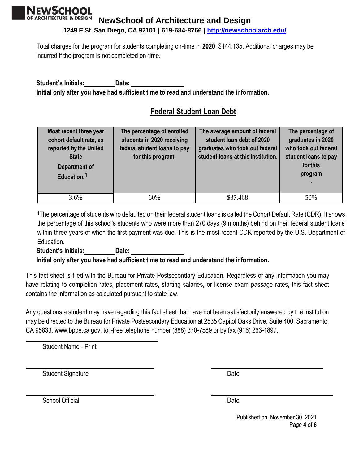

**1249 F St. San Diego, CA 92101 | 619-684-8766 |<http://newschoolarch.edu/>**

Total charges for the program for students completing on-time in **2020**: \$144,135. Additional charges may be incurred if the program is not completed on-time.

**Student's Initials: Date: Initial only after you have had sufficient time to read and understand the information.**

# **Federal Student Loan Debt**

| Most recent three year<br>cohort default rate, as<br>reported by the United<br><b>State</b><br><b>Department of</b><br>Education. <sup>1</sup> | The percentage of enrolled<br>students in 2020 receiving<br>federal student loans to pay<br>for this program. | The average amount of federal<br>student loan debt of 2020<br>graduates who took out federal<br>student loans at this institution. | The percentage of<br>graduates in 2020<br>who took out federal<br>student loans to pay<br>for this<br>program |
|------------------------------------------------------------------------------------------------------------------------------------------------|---------------------------------------------------------------------------------------------------------------|------------------------------------------------------------------------------------------------------------------------------------|---------------------------------------------------------------------------------------------------------------|
| 3.6%                                                                                                                                           | 60%                                                                                                           | \$37,468                                                                                                                           | 50%                                                                                                           |

<sup>1</sup>The percentage of students who defaulted on their federal student loans is called the Cohort Default Rate (CDR). It shows the percentage of this school's students who were more than 270 days (9 months) behind on their federal student loans within three years of when the first payment was due. This is the most recent CDR reported by the U.S. Department of Education.

#### **Student's Initials: Date:**

#### **Initial only after you have had sufficient time to read and understand the information.**

This fact sheet is filed with the Bureau for Private Postsecondary Education. Regardless of any information you may have relating to completion rates, placement rates, starting salaries, or license exam passage rates, this fact sheet contains the information as calculated pursuant to state law.

Any questions a student may have regarding this fact sheet that have not been satisfactorily answered by the institution may be directed to the Bureau for Private Postsecondary Education at 2535 Capitol Oaks Drive, Suite 400, Sacramento, CA 95833, [www.bppe.ca.gov, t](http://www.bppe.ca.gov/)oll-free telephone number (888) 370-7589 or by fax (916) 263-1897.

Student Name - Print

Student Signature Date Date Controllers and Date Date Date

School Official Date

Published on: November 30, 2021 Page **4** of **6**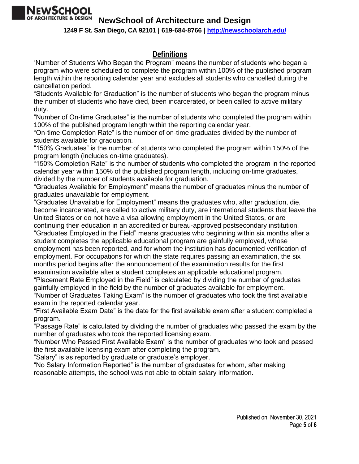

**1249 F St. San Diego, CA 92101 | 619-684-8766 |<http://newschoolarch.edu/>**

### **Definitions**

"Number of Students Who Began the Program" means the number of students who began a program who were scheduled to complete the program within 100% of the published program length within the reporting calendar year and excludes all students who cancelled during the cancellation period.

"Students Available for Graduation" is the number of students who began the program minus the number of students who have died, been incarcerated, or been called to active military duty.

"Number of On-time Graduates" is the number of students who completed the program within 100% of the published program length within the reporting calendar year.

"On-time Completion Rate" is the number of on-time graduates divided by the number of students available for graduation.

"150% Graduates" is the number of students who completed the program within 150% of the program length (includes on-time graduates).

"150% Completion Rate" is the number of students who completed the program in the reported calendar year within 150% of the published program length, including on-time graduates, divided by the number of students available for graduation.

"Graduates Available for Employment" means the number of graduates minus the number of graduates unavailable for employment.

"Graduates Unavailable for Employment" means the graduates who, after graduation, die, become incarcerated, are called to active military duty, are international students that leave the United States or do not have a visa allowing employment in the United States, or are continuing their education in an accredited or bureau-approved postsecondary institution.

"Graduates Employed in the Field" means graduates who beginning within six months after a student completes the applicable educational program are gainfully employed, whose employment has been reported, and for whom the institution has documented verification of employment. For occupations for which the state requires passing an examination, the six months period begins after the announcement of the examination results for the first examination available after a student completes an applicable educational program.

"Placement Rate Employed in the Field" is calculated by dividing the number of graduates gainfully employed in the field by the number of graduates available for employment.

"Number of Graduates Taking Exam" is the number of graduates who took the first available exam in the reported calendar year.

"First Available Exam Date" is the date for the first available exam after a student completed a program.

"Passage Rate" is calculated by dividing the number of graduates who passed the exam by the number of graduates who took the reported licensing exam.

"Number Who Passed First Available Exam" is the number of graduates who took and passed the first available licensing exam after completing the program.

"Salary" is as reported by graduate or graduate's employer.

"No Salary Information Reported" is the number of graduates for whom, after making reasonable attempts, the school was not able to obtain salary information.